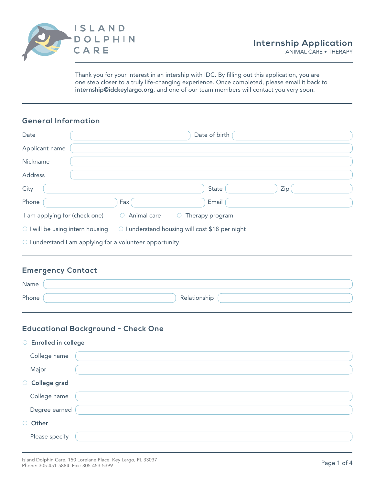

Thank you for your interest in an intership with IDC. By filling out this application, you are one step closer to a truly life-changing experience. Once completed, please email it back to internship@idckeylargo.org, and one of our team members will contact you very soon.

# **General Information**

| Date                             |                                                 | Date of birth   |     |
|----------------------------------|-------------------------------------------------|-----------------|-----|
| Applicant name                   |                                                 |                 |     |
| Nickname                         |                                                 |                 |     |
| Address                          |                                                 |                 |     |
| City                             |                                                 | State           | Zip |
| Phone                            | Fax                                             | Email           |     |
| I am applying for (check one)    | Animal care<br>$\circ$<br>$\bigcirc$            | Therapy program |     |
| ○ I will be using intern housing | ○ I understand housing will cost \$18 per night |                 |     |
|                                  |                                                 |                 |     |

 $\circ$  I understand I am applying for a volunteer opportunity

### **Emergency Contact**

| Name  |              |
|-------|--------------|
| Phone | Relationship |

#### **Educational Background - Check One**

| ○ Enrolled in college |  |
|-----------------------|--|
| College name          |  |
| Major                 |  |
| O College grad        |  |
| College name          |  |
| Degree earned         |  |
| O Other               |  |
| Please specify        |  |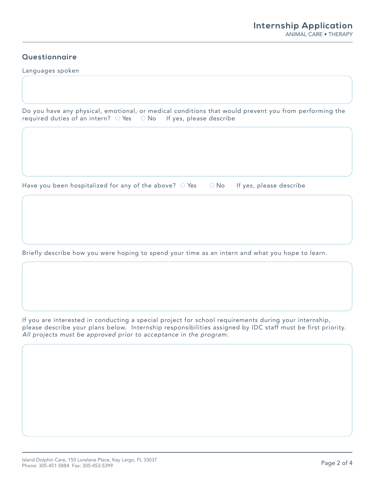# **Questionnaire**

Languages spoken

Do you have any physical, emotional, or medical conditions that would prevent you from performing the required duties of an intern?  $\bigcirc$  Yes  $\bigcirc$  No If yes, please describe

Have you been hospitalized for any of the above?  $\bigcirc$  Yes  $\bigcirc$  No If yes, please describe

Briefly describe how you were hoping to spend your time as an intern and what you hope to learn.

If you are interested in conducting a special project for school requirements during your internship, please describe your plans below. Internship responsibilities assigned by IDC staff must be first priority. *All projects must be approved prior to acceptance in the program.*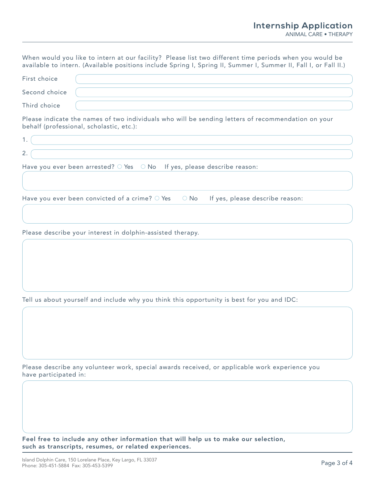When would you like to intern at our facility? Please list two different time periods when you would be available to intern. (Available positions include Spring I, Spring II, Summer I, Summer II, Fall I, or Fall II.)

| First choice  |  |
|---------------|--|
| Second choice |  |
| Third choice  |  |

Please indicate the names of two individuals who will be sending letters of recommendation on your behalf (professional, scholastic, etc.):

| 2.                                                                                              |  |
|-------------------------------------------------------------------------------------------------|--|
| Have you ever been arrested? $\circ$ Yes $\circ$ No If yes, please describe reason:             |  |
| Have you ever been convicted of a crime? $\circ$ Yes $\circ$ No If yes, please describe reason: |  |
|                                                                                                 |  |

Please describe your interest in dolphin-assisted therapy.

Tell us about yourself and include why you think this opportunity is best for you and IDC:

Please describe any volunteer work, special awards received, or applicable work experience you have participated in:

Feel free to include any other information that will help us to make our selection, such as transcripts, resumes, or related experiences.